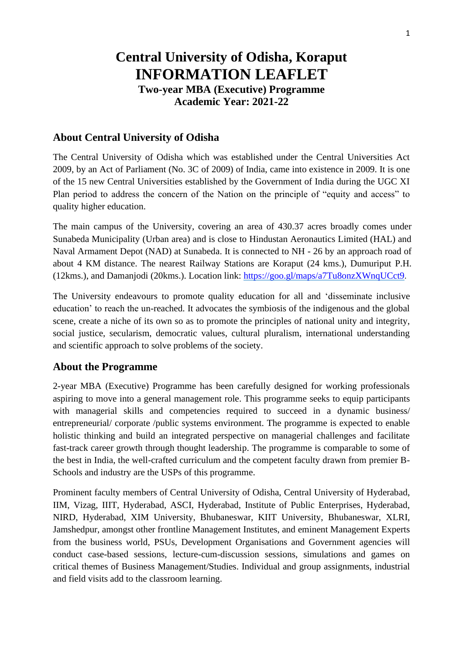# **Central University of Odisha, Koraput INFORMATION LEAFLET Two-year MBA (Executive) Programme Academic Year: 2021-22**

# **About Central University of Odisha**

The Central University of Odisha which was established under the Central Universities Act 2009, by an Act of Parliament (No. 3C of 2009) of India, came into existence in 2009. It is one of the 15 new Central Universities established by the Government of India during the UGC XI Plan period to address the concern of the Nation on the principle of "equity and access" to quality higher education.

The main campus of the University, covering an area of 430.37 acres broadly comes under Sunabeda Municipality (Urban area) and is close to Hindustan Aeronautics Limited (HAL) and Naval Armament Depot (NAD) at Sunabeda. It is connected to NH - 26 by an approach road of about 4 KM distance. The nearest Railway Stations are Koraput (24 kms.), Dumuriput P.H. (12kms.), and Damanjodi (20kms.). Location link: <https://goo.gl/maps/a7Tu8onzXWnqUCct9>.

The University endeavours to promote quality education for all and 'disseminate inclusive education' to reach the un-reached. It advocates the symbiosis of the indigenous and the global scene, create a niche of its own so as to promote the principles of national unity and integrity, social justice, secularism, democratic values, cultural pluralism, international understanding and scientific approach to solve problems of the society.

## **About the Programme**

2-year MBA (Executive) Programme has been carefully designed for working professionals aspiring to move into a general management role. This programme seeks to equip participants with managerial skills and competencies required to succeed in a dynamic business/ entrepreneurial/ corporate /public systems environment. The programme is expected to enable holistic thinking and build an integrated perspective on managerial challenges and facilitate fast-track career growth through thought leadership. The programme is comparable to some of the best in India, the well-crafted curriculum and the competent faculty drawn from premier B-Schools and industry are the USPs of this programme.

Prominent faculty members of Central University of Odisha, Central University of Hyderabad, IIM, Vizag, IIIT, Hyderabad, ASCI, Hyderabad, Institute of Public Enterprises, Hyderabad, NIRD, Hyderabad, XIM University, Bhubaneswar, KIIT University, Bhubaneswar, XLRI, Jamshedpur, amongst other frontline Management Institutes, and eminent Management Experts from the business world, PSUs, Development Organisations and Government agencies will conduct case-based sessions, lecture-cum-discussion sessions, simulations and games on critical themes of Business Management/Studies. Individual and group assignments, industrial and field visits add to the classroom learning.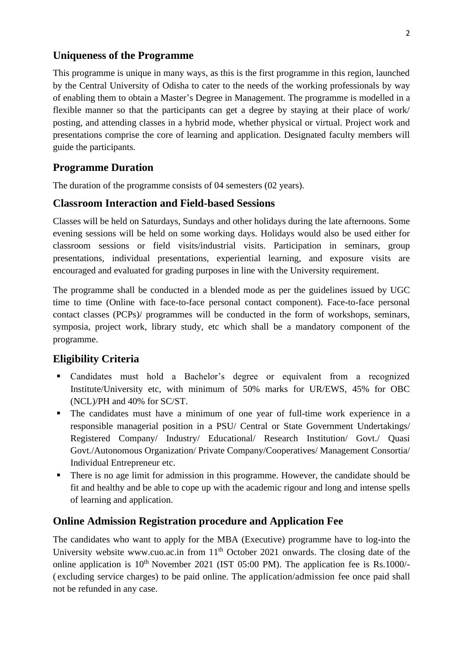## **Uniqueness of the Programme**

This programme is unique in many ways, as this is the first programme in this region, launched by the Central University of Odisha to cater to the needs of the working professionals by way of enabling them to obtain a Master's Degree in Management. The programme is modelled in a flexible manner so that the participants can get a degree by staying at their place of work/ posting, and attending classes in a hybrid mode, whether physical or virtual. Project work and presentations comprise the core of learning and application. Designated faculty members will guide the participants.

# **Programme Duration**

The duration of the programme consists of 04 semesters (02 years).

# **Classroom Interaction and Field-based Sessions**

Classes will be held on Saturdays, Sundays and other holidays during the late afternoons. Some evening sessions will be held on some working days. Holidays would also be used either for classroom sessions or field visits/industrial visits. Participation in seminars, group presentations, individual presentations, experiential learning, and exposure visits are encouraged and evaluated for grading purposes in line with the University requirement.

The programme shall be conducted in a blended mode as per the guidelines issued by UGC time to time (Online with face-to-face personal contact component). Face-to-face personal contact classes (PCPs)/ programmes will be conducted in the form of workshops, seminars, symposia, project work, library study, etc which shall be a mandatory component of the programme.

# **Eligibility Criteria**

- Candidates must hold a Bachelor's degree or equivalent from a recognized Institute/University etc, with minimum of 50% marks for UR/EWS, 45% for OBC (NCL)/PH and 40% for SC/ST.
- The candidates must have a minimum of one year of full-time work experience in a responsible managerial position in a PSU/ Central or State Government Undertakings/ Registered Company/ Industry/ Educational/ Research Institution/ Govt./ Quasi Govt./Autonomous Organization/ Private Company/Cooperatives/ Management Consortia/ Individual Entrepreneur etc.
- There is no age limit for admission in this programme. However, the candidate should be fit and healthy and be able to cope up with the academic rigour and long and intense spells of learning and application.

# **Online Admission Registration procedure and Application Fee**

The candidates who want to apply for the MBA (Executive) programme have to log-into the University website [www.cuo.ac.in f](http://www.cuo.ac.in/)rom 11<sup>th</sup> October 2021 onwards. The closing date of the online application is  $10^{th}$  November 2021 (IST 05:00 PM). The application fee is Rs.1000/-( excluding service charges) to be paid online. The application/admission fee once paid shall not be refunded in any case.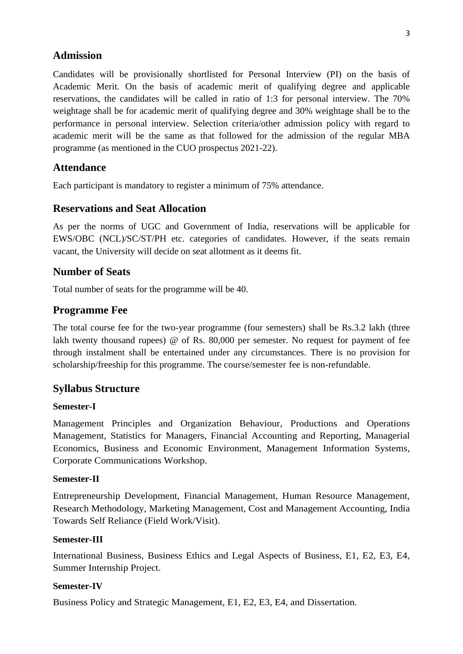## **Admission**

Candidates will be provisionally shortlisted for Personal Interview (PI) on the basis of Academic Merit. On the basis of academic merit of qualifying degree and applicable reservations, the candidates will be called in ratio of 1:3 for personal interview. The 70% weightage shall be for academic merit of qualifying degree and 30% weightage shall be to the performance in personal interview. Selection criteria/other admission policy with regard to academic merit will be the same as that followed for the admission of the regular MBA programme (as mentioned in the CUO prospectus 2021-22).

## **Attendance**

Each participant is mandatory to register a minimum of 75% attendance.

## **Reservations and Seat Allocation**

As per the norms of UGC and Government of India, reservations will be applicable for EWS/OBC (NCL)/SC/ST/PH etc. categories of candidates. However, if the seats remain vacant, the University will decide on seat allotment as it deems fit.

### **Number of Seats**

Total number of seats for the programme will be 40.

## **Programme Fee**

The total course fee for the two-year programme (four semesters) shall be Rs.3.2 lakh (three lakh twenty thousand rupees) @ of Rs. 80,000 per semester. No request for payment of fee through instalment shall be entertained under any circumstances. There is no provision for scholarship/freeship for this programme. The course/semester fee is non-refundable.

#### **Syllabus Structure**

#### **Semester-I**

Management Principles and Organization Behaviour, Productions and Operations Management, Statistics for Managers, Financial Accounting and Reporting, Managerial Economics, Business and Economic Environment, Management Information Systems, Corporate Communications Workshop.

#### **Semester-II**

Entrepreneurship Development, Financial Management, Human Resource Management, Research Methodology, Marketing Management, Cost and Management Accounting, India Towards Self Reliance (Field Work/Visit).

#### **Semester-III**

International Business, Business Ethics and Legal Aspects of Business, E1, E2, E3, E4, Summer Internship Project.

#### **Semester-IV**

Business Policy and Strategic Management, E1, E2, E3, E4, and Dissertation.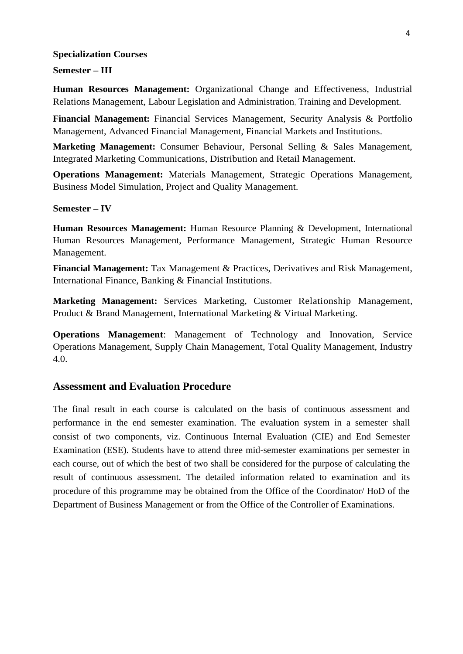#### **Specialization Courses**

#### **Semester – III**

**Human Resources Management:** Organizational Change and Effectiveness, Industrial Relations Management, Labour Legislation and Administration, Training and Development.

**Financial Management:** Financial Services Management, Security Analysis & Portfolio Management, Advanced Financial Management, Financial Markets and Institutions.

**Marketing Management:** Consumer Behaviour, Personal Selling & Sales Management, Integrated Marketing Communications, Distribution and Retail Management.

**Operations Management:** Materials Management, Strategic Operations Management, Business Model Simulation, Project and Quality Management.

#### **Semester – IV**

**Human Resources Management:** Human Resource Planning & Development, International Human Resources Management, Performance Management, Strategic Human Resource Management.

**Financial Management:** Tax Management & Practices, Derivatives and Risk Management, International Finance, Banking & Financial Institutions.

**Marketing Management:** Services Marketing, Customer Relationship Management, Product & Brand Management, International Marketing & Virtual Marketing.

**Operations Management**: Management of Technology and Innovation, Service Operations Management, Supply Chain Management, Total Quality Management, Industry 4.0.

## **Assessment and Evaluation Procedure**

The final result in each course is calculated on the basis of continuous assessment and performance in the end semester examination. The evaluation system in a semester shall consist of two components, viz. Continuous Internal Evaluation (CIE) and End Semester Examination (ESE). Students have to attend three mid-semester examinations per semester in each course, out of which the best of two shall be considered for the purpose of calculating the result of continuous assessment. The detailed information related to examination and its procedure of this programme may be obtained from the Office of the Coordinator/ HoD of the Department of Business Management or from the Office of the Controller of Examinations.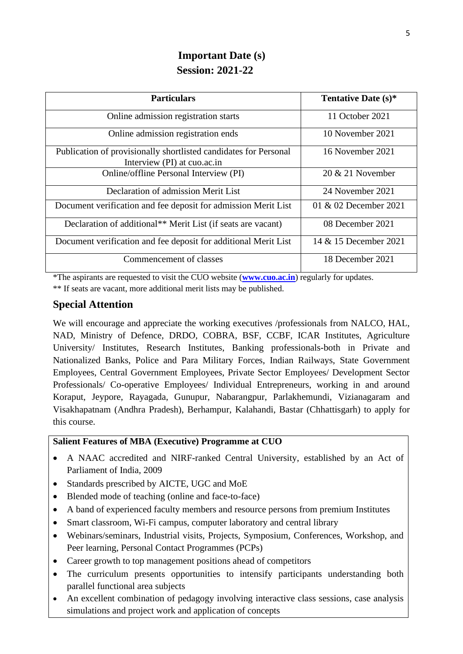# **Important Date (s) Session: 2021-22**

| <b>Particulars</b>                                                                              | Tentative Date (s)*   |
|-------------------------------------------------------------------------------------------------|-----------------------|
| Online admission registration starts                                                            | 11 October 2021       |
| Online admission registration ends                                                              | 10 November 2021      |
| Publication of provisionally shortlisted candidates for Personal<br>Interview (PI) at cuo.ac.in | 16 November 2021      |
| Online/offline Personal Interview (PI)                                                          | $20 \& 21$ November   |
| Declaration of admission Merit List                                                             | 24 November 2021      |
| Document verification and fee deposit for admission Merit List                                  | 01 & 02 December 2021 |
| Declaration of additional <sup>**</sup> Merit List (if seats are vacant)                        | 08 December 2021      |
| Document verification and fee deposit for additional Merit List                                 | 14 & 15 December 2021 |
| Commencement of classes                                                                         | 18 December 2021      |

\*The aspirants are requested to visit the CUO website (**[www.cuo.ac.in](http://www.cuo.ac.in/)**) regularly for updates.

\*\* If seats are vacant, more additional merit lists may be published.

# **Special Attention**

We will encourage and appreciate the working executives /professionals from NALCO, HAL, NAD, Ministry of Defence, DRDO, COBRA, BSF, CCBF, ICAR Institutes, Agriculture University/ Institutes, Research Institutes, Banking professionals-both in Private and Nationalized Banks, Police and Para Military Forces, Indian Railways, State Government Employees, Central Government Employees, Private Sector Employees/ Development Sector Professionals/ Co-operative Employees/ Individual Entrepreneurs, working in and around Koraput, Jeypore, Rayagada, Gunupur, Nabarangpur, Parlakhemundi, Vizianagaram and Visakhapatnam (Andhra Pradesh), Berhampur, Kalahandi, Bastar (Chhattisgarh) to apply for this course.

### **Salient Features of MBA (Executive) Programme at CUO**

- A NAAC accredited and NIRF-ranked Central University, established by an Act of Parliament of India, 2009
- Standards prescribed by AICTE, UGC and MoE
- Blended mode of teaching (online and face-to-face)
- A band of experienced faculty members and resource persons from premium Institutes
- Smart classroom, Wi-Fi campus, computer laboratory and central library
- Webinars/seminars, Industrial visits, Projects, Symposium, Conferences, Workshop, and Peer learning, Personal Contact Programmes (PCPs)
- Career growth to top management positions ahead of competitors
- The curriculum presents opportunities to intensify participants understanding both parallel functional area subjects
- An excellent combination of pedagogy involving interactive class sessions, case analysis simulations and project work and application of concepts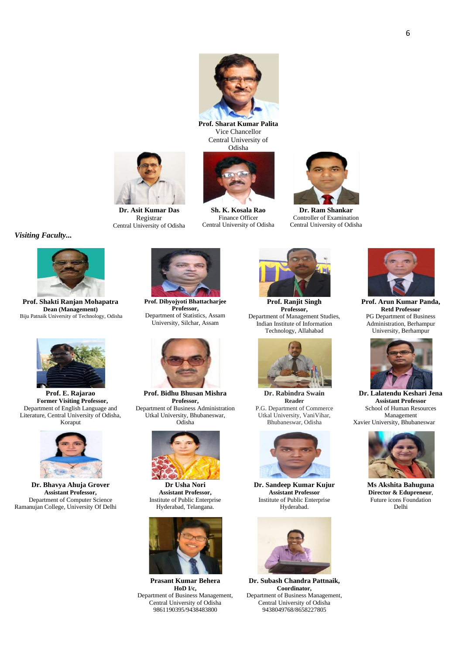**Prof. Sharat Kumar Palita** Vice Chancellor Central University of Odisha



**Sh. K. Kosala Rao** Finance Officer Central University of Odisha



**Dr. Ram Shankar** Controller of Examination Central University of Odisha



Registrar Central University of Odisha



**Prof. Ranjit Singh Professor,**  Department of Management Studies, Indian Institute of Information Technology, Allahabad



**Dr. Rabindra Swain Reader** P.G. Department of Commerce Utkal University, VaniVihar, Bhubaneswar, Odisha



**Dr. Sandeep Kumar Kujur Assistant Professor** Institute of Public Enterprise Hyderabad.



**Dr. Subash Chandra Pattnaik, Coordinator,** Department of Business Management, Central University of Odisha 9438049768/8658227805



**Prof. Arun Kumar Panda, Retd Professor** PG Department of Business Administration, Berhampur University, Berhampur



**Dr. Lalatendu Keshari Jena Assistant Professor** School of Human Resources Management Xavier University, Bhubaneswar



**Ms Akshita Bahuguna Director & Edupreneur**, Future icons Foundation Delhi

**Prof. Shakti Ranjan Mohapatra Dean (Management)** Biju Patnaik University of Technology, Odisha



*Visiting Faculty...*

**Prof. E. Rajarao Former Visiting Professor,** Department of English Language and Literature, Central University of Odisha, Koraput



**Dr. Bhavya Ahuja Grover Assistant Professor,**  Department of Computer Science Ramanujan College, University Of Delhi



**Prof. Bidhu Bhusan Mishra Professor,** Department of Business Administration Utkal University, Bhubaneswar,

Odisha



**Dr Usha Nori Assistant Professor,** Institute of Public Enterprise Hyderabad, Telangana.



**Prasant Kumar Behera HoD I/c,**  Department of Business Management, Central University of Odisha 9861190395/9438483800